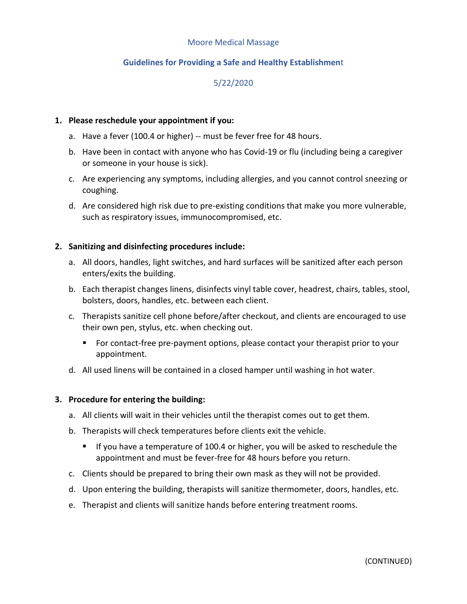#### Moore Medical Massage

## **Guidelines for Providing a Safe and Healthy Establishmen**t

# 5/22/2020

#### **1. Please reschedule your appointment if you:**

- a. Have a fever (100.4 or higher) -- must be fever free for 48 hours.
- b. Have been in contact with anyone who has Covid-19 or flu (including being a caregiver or someone in your house is sick).
- c. Are experiencing any symptoms, including allergies, and you cannot control sneezing or coughing.
- d. Are considered high risk due to pre-existing conditions that make you more vulnerable, such as respiratory issues, immunocompromised, etc.

#### **2. Sanitizing and disinfecting procedures include:**

- a. All doors, handles, light switches, and hard surfaces will be sanitized after each person enters/exits the building.
- b. Each therapist changes linens, disinfects vinyl table cover, headrest, chairs, tables, stool, bolsters, doors, handles, etc. between each client.
- c. Therapists sanitize cell phone before/after checkout, and clients are encouraged to use their own pen, stylus, etc. when checking out.
	- For contact-free pre-payment options, please contact your therapist prior to your appointment.
- d. All used linens will be contained in a closed hamper until washing in hot water.

#### **3. Procedure for entering the building:**

- a. All clients will wait in their vehicles until the therapist comes out to get them.
- b. Therapists will check temperatures before clients exit the vehicle.
	- If you have a temperature of 100.4 or higher, you will be asked to reschedule the appointment and must be fever-free for 48 hours before you return.
- c. Clients should be prepared to bring their own mask as they will not be provided.
- d. Upon entering the building, therapists will sanitize thermometer, doors, handles, etc.
- e. Therapist and clients will sanitize hands before entering treatment rooms.